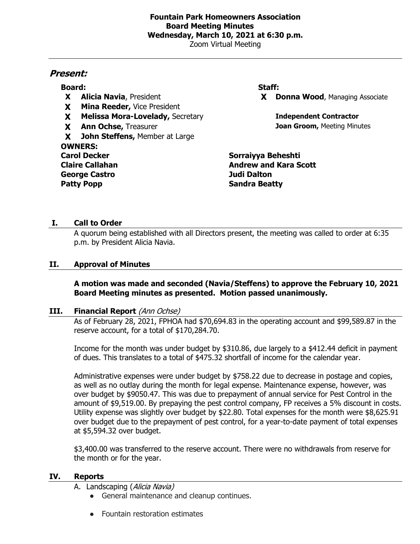# **Fountain Park Homeowners Association Board Meeting Minutes Wednesday, March 10, 2021 at 6:30 p.m.**

Zoom Virtual Meeting

# **Present:**

# **Board: Staff:**

- 
- **X Mina Reeder,** Vice President
- **X Melissa Mora-Lovelady,** Secretary **Independent Contractor**
- 

**X John Steffens,** Member at Large **OWNERS: Carol Decker Sorraiyya Beheshti Claire Callahan Andrew and Kara Scott George Castro Judi Dalton Patty Popp Sandra Beatty** 

**X Alicia Navia**, President **X Donna Wood**, Managing Associate

**X Ann Ochse,** Treasurer **Joan Groom, Meeting Minutes** 

# **I. Call to Order**

A quorum being established with all Directors present, the meeting was called to order at 6:35 p.m. by President Alicia Navia.

## **II. Approval of Minutes**

#### **A motion was made and seconded (Navia/Steffens) to approve the February 10, 2021 Board Meeting minutes as presented. Motion passed unanimously.**

#### **III. Financial Report** (Ann Ochse)

As of February 28, 2021, FPHOA had \$70,694.83 in the operating account and \$99,589.87 in the reserve account, for a total of \$170,284.70.

Income for the month was under budget by \$310.86, due largely to a \$412.44 deficit in payment of dues. This translates to a total of \$475.32 shortfall of income for the calendar year.

Administrative expenses were under budget by \$758.22 due to decrease in postage and copies, as well as no outlay during the month for legal expense. Maintenance expense, however, was over budget by \$9050.47. This was due to prepayment of annual service for Pest Control in the amount of \$9,519.00. By prepaying the pest control company, FP receives a 5% discount in costs. Utility expense was slightly over budget by \$22.80. Total expenses for the month were \$8,625.91 over budget due to the prepayment of pest control, for a year-to-date payment of total expenses at \$5,594.32 over budget.

\$3,400.00 was transferred to the reserve account. There were no withdrawals from reserve for the month or for the year.

#### **IV. Reports**

- A. Landscaping (Alicia Navia)
	- General maintenance and cleanup continues.
	- Fountain restoration estimates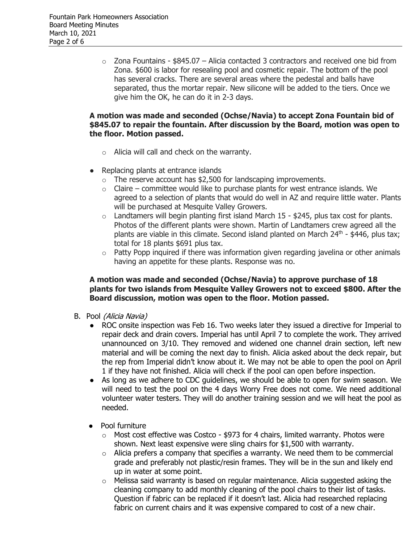$\circ$  Zona Fountains - \$845.07 – Alicia contacted 3 contractors and received one bid from Zona. \$600 is labor for resealing pool and cosmetic repair. The bottom of the pool has several cracks. There are several areas where the pedestal and balls have separated, thus the mortar repair. New silicone will be added to the tiers. Once we give him the OK, he can do it in 2-3 days.

## **A motion was made and seconded (Ochse/Navia) to accept Zona Fountain bid of \$845.07 to repair the fountain. After discussion by the Board, motion was open to the floor. Motion passed.**

- o Alicia will call and check on the warranty.
- Replacing plants at entrance islands
	- $\circ$  The reserve account has \$2,500 for landscaping improvements.
	- $\circ$  Claire committee would like to purchase plants for west entrance islands. We agreed to a selection of plants that would do well in AZ and require little water. Plants will be purchased at Mesquite Valley Growers.
	- $\circ$  Landtamers will begin planting first island March 15 \$245, plus tax cost for plants. Photos of the different plants were shown. Martin of Landtamers crew agreed all the plants are viable in this climate. Second island planted on March  $24<sup>th</sup>$  - \$446, plus tax; total for 18 plants \$691 plus tax.
	- $\circ$  Patty Popp inquired if there was information given regarding javelina or other animals having an appetite for these plants. Response was no.

## **A motion was made and seconded (Ochse/Navia) to approve purchase of 18 plants for two islands from Mesquite Valley Growers not to exceed \$800. After the Board discussion, motion was open to the floor. Motion passed.**

- B. Pool (Alicia Navia)
	- ROC onsite inspection was Feb 16. Two weeks later they issued a directive for Imperial to repair deck and drain covers. Imperial has until April 7 to complete the work. They arrived unannounced on 3/10. They removed and widened one channel drain section, left new material and will be coming the next day to finish. Alicia asked about the deck repair, but the rep from Imperial didn't know about it. We may not be able to open the pool on April 1 if they have not finished. Alicia will check if the pool can open before inspection.
	- As long as we adhere to CDC quidelines, we should be able to open for swim season. We will need to test the pool on the 4 days Worry Free does not come. We need additional volunteer water testers. They will do another training session and we will heat the pool as needed.
	- Pool furniture
		- $\circ$  Most cost effective was Costco \$973 for 4 chairs, limited warranty. Photos were shown. Next least expensive were sling chairs for \$1,500 with warranty.
		- $\circ$  Alicia prefers a company that specifies a warranty. We need them to be commercial grade and preferably not plastic/resin frames. They will be in the sun and likely end up in water at some point.
		- $\circ$  Melissa said warranty is based on regular maintenance. Alicia suggested asking the cleaning company to add monthly cleaning of the pool chairs to their list of tasks. Question if fabric can be replaced if it doesn't last. Alicia had researched replacing fabric on current chairs and it was expensive compared to cost of a new chair.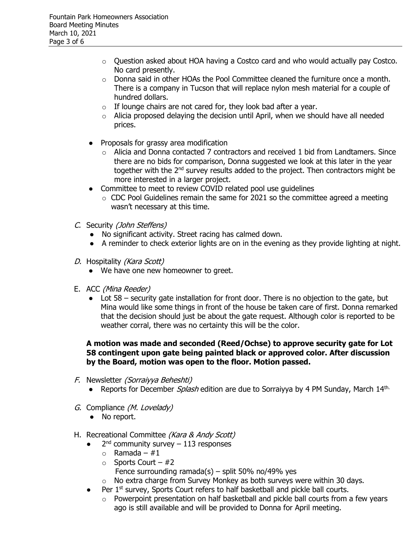- $\circ$  Ouestion asked about HOA having a Costco card and who would actually pay Costco. No card presently.
- o Donna said in other HOAs the Pool Committee cleaned the furniture once a month. There is a company in Tucson that will replace nylon mesh material for a couple of hundred dollars.
- $\circ$  If lounge chairs are not cared for, they look bad after a year.
- $\circ$  Alicia proposed delaying the decision until April, when we should have all needed prices.
- Proposals for grassy area modification
	- $\circ$  Alicia and Donna contacted 7 contractors and received 1 bid from Landtamers. Since there are no bids for comparison, Donna suggested we look at this later in the year together with the 2<sup>nd</sup> survey results added to the project. Then contractors might be more interested in a larger project.
- Committee to meet to review COVID related pool use guidelines
	- $\circ$  CDC Pool Guidelines remain the same for 2021 so the committee agreed a meeting wasn't necessary at this time.
- C. Security (John Steffens)
	- No significant activity. Street racing has calmed down.
	- A reminder to check exterior lights are on in the evening as they provide lighting at night.
- D. Hospitality (Kara Scott)
	- We have one new homeowner to greet.
- E. ACC (Mina Reeder)
	- Lot 58 security gate installation for front door. There is no objection to the gate, but Mina would like some things in front of the house be taken care of first. Donna remarked that the decision should just be about the gate request. Although color is reported to be weather corral, there was no certainty this will be the color.

## **A motion was made and seconded (Reed/Ochse) to approve security gate for Lot 58 contingent upon gate being painted black or approved color. After discussion by the Board, motion was open to the floor. Motion passed.**

- F. Newsletter (Sorraiyya Beheshti)
	- Reports for December *Splash* edition are due to Sorraiyya by 4 PM Sunday, March  $14<sup>th</sup>$ .
- G. Compliance (M. Lovelady)
	- No report.
- H. Recreational Committee (Kara & Andy Scott)
	- $\bullet$  2<sup>nd</sup> community survey 113 responses
		- $\circ$  Ramada #1
		- $\circ$  Sports Court #2
			- Fence surrounding ramada(s) split 50% no/49% yes
		- o No extra charge from Survey Monkey as both surveys were within 30 days.
		- Per 1<sup>st</sup> survey, Sports Court refers to half basketball and pickle ball courts.
			- o Powerpoint presentation on half basketball and pickle ball courts from a few years ago is still available and will be provided to Donna for April meeting.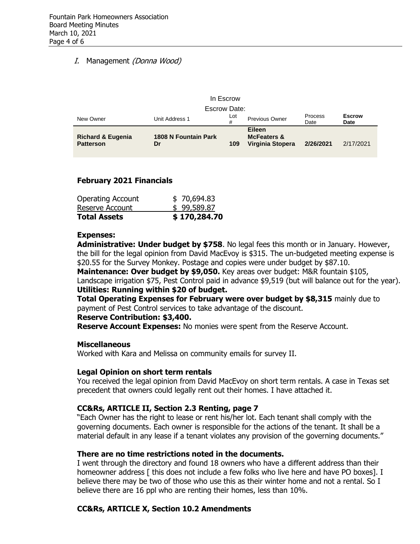# I. Management (Donna Wood)

| In Escrow                                        |                                   |          |                                                             |                        |                       |  |  |  |  |
|--------------------------------------------------|-----------------------------------|----------|-------------------------------------------------------------|------------------------|-----------------------|--|--|--|--|
| Escrow Date:                                     |                                   |          |                                                             |                        |                       |  |  |  |  |
| New Owner                                        | Unit Address 1                    | Lot<br># | <b>Previous Owner</b>                                       | <b>Process</b><br>Date | <b>Escrow</b><br>Date |  |  |  |  |
| <b>Richard &amp; Eugenia</b><br><b>Patterson</b> | <b>1808 N Fountain Park</b><br>Dr | 109      | <b>Eileen</b><br><b>McFeaters &amp;</b><br>Virginia Stopera | 2/26/2021              | 2/17/2021             |  |  |  |  |

#### **February 2021 Financials**

| \$170,284.70 |
|--------------|
| \$99,589.87  |
| \$70,694.83  |
|              |

#### **Expenses:**

**Administrative: Under budget by \$758**. No legal fees this month or in January. However, the bill for the legal opinion from David MacEvoy is \$315. The un-budgeted meeting expense is \$20.55 for the Survey Monkey. Postage and copies were under budget by \$87.10.

**Maintenance: Over budget by \$9,050.** Key areas over budget: M&R fountain \$105, Landscape irrigation \$75, Pest Control paid in advance \$9,519 (but will balance out for the year). **Utilities: Running within \$20 of budget.** 

**Total Operating Expenses for February were over budget by \$8,315** mainly due to payment of Pest Control services to take advantage of the discount.

#### **Reserve Contribution: \$3,400.**

**Reserve Account Expenses:** No monies were spent from the Reserve Account.

#### **Miscellaneous**

Worked with Kara and Melissa on community emails for survey II.

#### **Legal Opinion on short term rentals**

You received the legal opinion from David MacEvoy on short term rentals. A case in Texas set precedent that owners could legally rent out their homes. I have attached it.

#### **CC&Rs, ARTICLE II, Section 2.3 Renting, page 7**

"Each Owner has the right to lease or rent his/her lot. Each tenant shall comply with the governing documents. Each owner is responsible for the actions of the tenant. It shall be a material default in any lease if a tenant violates any provision of the governing documents."

#### **There are no time restrictions noted in the documents.**

I went through the directory and found 18 owners who have a different address than their homeowner address [ this does not include a few folks who live here and have PO boxes]. I believe there may be two of those who use this as their winter home and not a rental. So I believe there are 16 ppl who are renting their homes, less than 10%.

# **CC&Rs, ARTICLE X, Section 10.2 Amendments**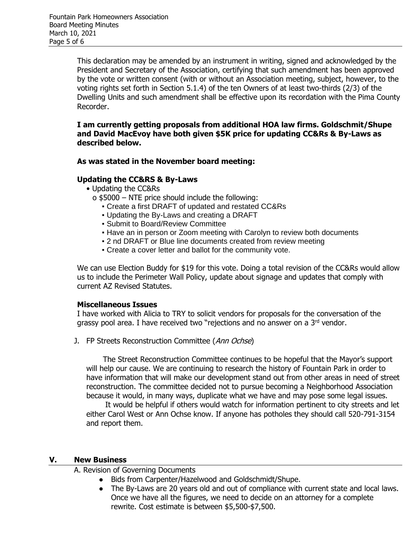This declaration may be amended by an instrument in writing, signed and acknowledged by the President and Secretary of the Association, certifying that such amendment has been approved by the vote or written consent (with or without an Association meeting, subject, however, to the voting rights set forth in Section 5.1.4) of the ten Owners of at least two-thirds (2/3) of the Dwelling Units and such amendment shall be effective upon its recordation with the Pima County Recorder.

**I am currently getting proposals from additional HOA law firms. Goldschmit/Shupe and David MacEvoy have both given \$5K price for updating CC&Rs & By-Laws as described below.**

#### **As was stated in the November board meeting:**

#### **Updating the CC&RS & By-Laws**

- Updating the CC&Rs
	- o \$5000 NTE price should include the following:
		- Create a first DRAFT of updated and restated CC&Rs
		- Updating the By-Laws and creating a DRAFT
		- Submit to Board/Review Committee
		- **.** Have an in person or Zoom meeting with Carolyn to review both documents
		- 2 nd DRAFT or Blue line documents created from review meeting
		- Create a cover letter and ballot for the community vote.

We can use Election Buddy for \$19 for this vote. Doing a total revision of the CC&Rs would allow us to include the Perimeter Wall Policy, update about signage and updates that comply with current AZ Revised Statutes.

#### **Miscellaneous Issues**

I have worked with Alicia to TRY to solicit vendors for proposals for the conversation of the grassy pool area. I have received two "rejections and no answer on a 3<sup>rd</sup> vendor.

J. FP Streets Reconstruction Committee (Ann Ochse)

 The Street Reconstruction Committee continues to be hopeful that the Mayor's support will help our cause. We are continuing to research the history of Fountain Park in order to have information that will make our development stand out from other areas in need of street reconstruction. The committee decided not to pursue becoming a Neighborhood Association because it would, in many ways, duplicate what we have and may pose some legal issues.

 It would be helpful if others would watch for information pertinent to city streets and let either Carol West or Ann Ochse know. If anyone has potholes they should call 520-791-3154 and report them.

#### **V. New Business**

A. Revision of Governing Documents

- Bids from Carpenter/Hazelwood and Goldschmidt/Shupe.
- The By-Laws are 20 years old and out of compliance with current state and local laws. Once we have all the figures, we need to decide on an attorney for a complete rewrite. Cost estimate is between \$5,500-\$7,500.